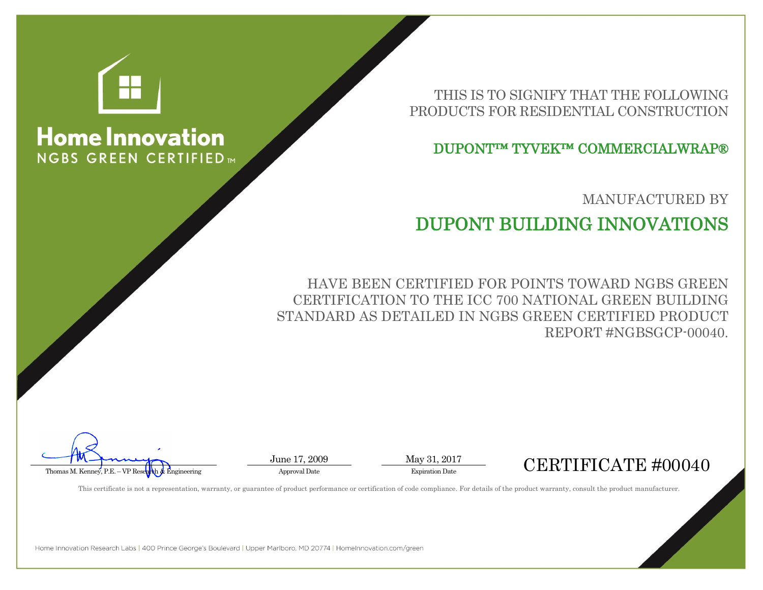

## **Home Innovation NGBS GREEN CERTIFIED**

THIS IS TO SIGNIFY THAT THE FOLLOWING PRODUCTS FOR RESIDENTIAL CONSTRUCTION

DUPONT™ TYVEK™ COMMERCIALWRAP®

MANUFACTURED BY

## DUPONT BUILDING INNOVATIONS

HAVE BEEN CERTIFIED FOR POINTS TOWARD NGBS GREEN CERTIFICATION TO THE ICC 700 NATIONAL GREEN BUILDING STANDARD AS DETAILED IN NGBS GREEN CERTIFIED PRODUCT REPORT #NGBSGCP-00040.

 $\overbrace{\text{Thomas M. Kenney. P.E. - VP Reschch & Engineering}}^{\text{J. M. L. L. L. L.}}$ 

This certificate is not a representation, warranty, or guarantee of product performance or certification of code compliance. For details of the product warranty, consult the product manufacturer.

June 17, 2009 May 31, 2017

Home Innovation Research Labs | 400 Prince George's Boulevard | Upper Marlboro, MD 20774 | HomeInnovation.com/green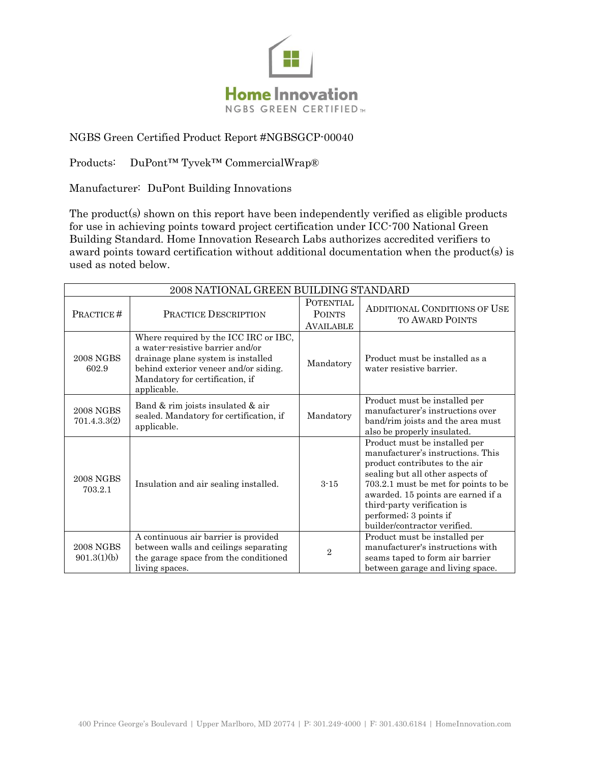

## NGBS Green Certified Product Report #NGBSGCP-00040

Products: DuPont™ Tyvek™ CommercialWrap®

Manufacturer: DuPont Building Innovations

The product(s) shown on this report have been independently verified as eligible products for use in achieving points toward project certification under ICC-700 National Green Building Standard. Home Innovation Research Labs authorizes accredited verifiers to award points toward certification without additional documentation when the product(s) is used as noted below.

| 2008 NATIONAL GREEN BUILDING STANDARD |                                                                                                                                                                                                            |                                                       |                                                                                                                                                                                                                                                                                                                 |  |
|---------------------------------------|------------------------------------------------------------------------------------------------------------------------------------------------------------------------------------------------------------|-------------------------------------------------------|-----------------------------------------------------------------------------------------------------------------------------------------------------------------------------------------------------------------------------------------------------------------------------------------------------------------|--|
| PRACTICE#                             | <b>PRACTICE DESCRIPTION</b>                                                                                                                                                                                | <b>POTENTIAL</b><br><b>POINTS</b><br><b>AVAILABLE</b> | <b>ADDITIONAL CONDITIONS OF USE</b><br><b>TO AWARD POINTS</b>                                                                                                                                                                                                                                                   |  |
| <b>2008 NGBS</b><br>602.9             | Where required by the ICC IRC or IBC,<br>a water-resistive barrier and/or<br>drainage plane system is installed<br>behind exterior veneer and/or siding.<br>Mandatory for certification, if<br>applicable. | Mandatory                                             | Product must be installed as a<br>water resistive barrier.                                                                                                                                                                                                                                                      |  |
| <b>2008 NGBS</b><br>701.4.3.3(2)      | Band & rim joists insulated & air<br>sealed. Mandatory for certification, if<br>applicable.                                                                                                                | Mandatory                                             | Product must be installed per<br>manufacturer's instructions over<br>band/rim joists and the area must<br>also be properly insulated.                                                                                                                                                                           |  |
| <b>2008 NGBS</b><br>703.2.1           | Insulation and air sealing installed.                                                                                                                                                                      | $3 - 15$                                              | Product must be installed per<br>manufacturer's instructions. This<br>product contributes to the air<br>sealing but all other aspects of<br>703.2.1 must be met for points to be<br>awarded. 15 points are earned if a<br>third-party verification is<br>performed; 3 points if<br>builder/contractor verified. |  |
| <b>2008 NGBS</b><br>901.3(1)(b)       | A continuous air barrier is provided<br>between walls and ceilings separating<br>the garage space from the conditioned<br>living spaces.                                                                   | $\overline{2}$                                        | Product must be installed per<br>manufacturer's instructions with<br>seams taped to form air barrier<br>between garage and living space.                                                                                                                                                                        |  |